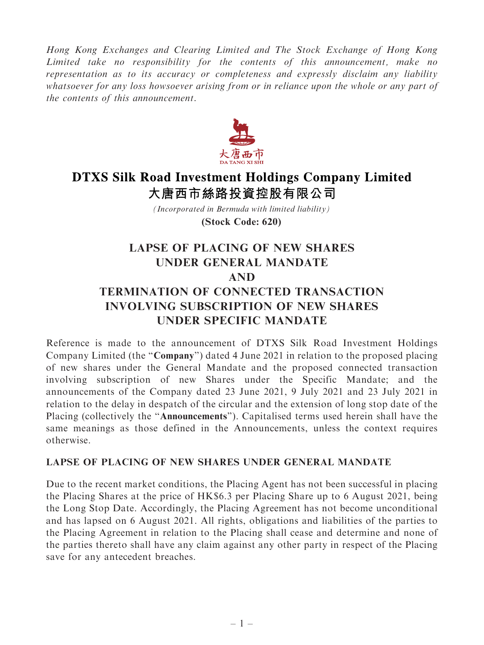Hong Kong Exchanges and Clearing Limited and The Stock Exchange of Hong Kong Limited take no responsibility for the contents of this announcement, make no representation as to its accuracy or completeness and expressly disclaim any liability whatsoever for any loss howsoever arising from or in reliance upon the whole or any part of the contents of this announcement.



## **DTXS Silk Road Investment Holdings Company Limited** 大唐西市絲路投資控股有限公司

*(Incorporated in Bermuda with limited liability)* **(Stock Code: 620)**

## LAPSE OF PLACING OF NEW SHARES UNDER GENERAL MANDATE AND TERMINATION OF CONNECTED TRANSACTION INVOLVING SUBSCRIPTION OF NEW SHARES UNDER SPECIFIC MANDATE

Reference is made to the announcement of DTXS Silk Road Investment Holdings Company Limited (the ''Company'') dated 4 June 2021 in relation to the proposed placing of new shares under the General Mandate and the proposed connected transaction involving subscription of new Shares under the Specific Mandate; and the announcements of the Company dated 23 June 2021, 9 July 2021 and 23 July 2021 in relation to the delay in despatch of the circular and the extension of long stop date of the Placing (collectively the ''Announcements''). Capitalised terms used herein shall have the same meanings as those defined in the Announcements, unless the context requires otherwise.

## LAPSE OF PLACING OF NEW SHARES UNDER GENERAL MANDATE

Due to the recent market conditions, the Placing Agent has not been successful in placing the Placing Shares at the price of HK\$6.3 per Placing Share up to 6 August 2021, being the Long Stop Date. Accordingly, the Placing Agreement has not become unconditional and has lapsed on 6 August 2021. All rights, obligations and liabilities of the parties to the Placing Agreement in relation to the Placing shall cease and determine and none of the parties thereto shall have any claim against any other party in respect of the Placing save for any antecedent breaches.